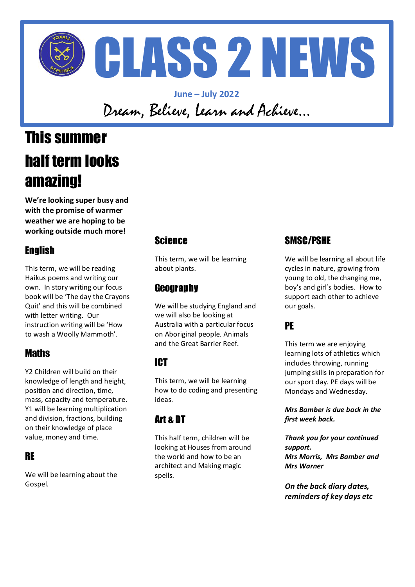

**June – July 2022** Dream, Believe, Learn and Achieve…

## This summer half term looks amazing!

**We're looking super busy and with the promise of warmer weather we are hoping to be working outside much more!**

#### English

This term, we will be reading Haikus poems and writing our own. In story writing our focus book will be 'The day the Crayons Quit' and this will be combined with letter writing. Our instruction writing will be 'How to wash a Woolly Mammoth'.

#### **Maths**

Y2 Children will build on their knowledge of length and height, position and direction, time, mass, capacity and temperature. Y1 will be learning multiplication and division, fractions, building on their knowledge of place value, money and time.

#### RE

We will be learning about the Gospel.

#### **Science**

This term, we will be learning about plants.

#### **Geography**

We will be studying England and we will also be looking at Australia with a particular focus on Aboriginal people. Animals and the Great Barrier Reef.

#### ICT

This term, we will be learning how to do coding and presenting ideas.

#### Art & DT

This half term, children will be looking at Houses from around the world and how to be an architect and Making magic spells.

#### SMSC/PSHE

We will be learning all about life cycles in nature, growing from young to old, the changing me, boy's and girl's bodies. How to support each other to achieve our goals.

#### PE

This term we are enjoying learning lots of athletics which includes throwing, running jumping skills in preparation for our sport day. PE days will be Mondays and Wednesday.

*Mrs Bamber is due back in the first week back.* 

*Thank you for your continued support. Mrs Morris, Mrs Bamber and Mrs Warner*

*On the back diary dates, reminders of key days etc*